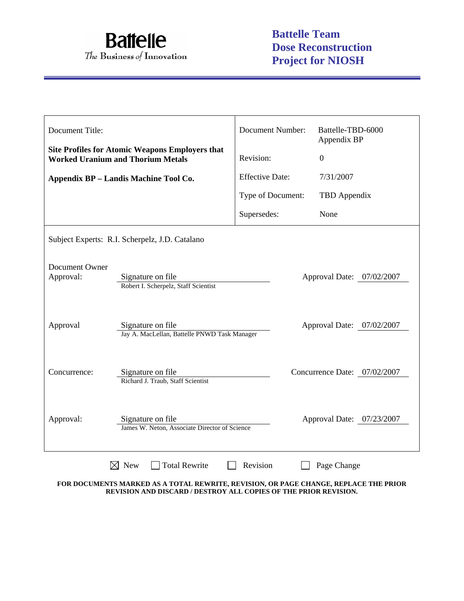

| Document Title:                                |                                                                                                    | <b>Document Number:</b>   | Battelle-TBD-6000<br>Appendix BP |  |
|------------------------------------------------|----------------------------------------------------------------------------------------------------|---------------------------|----------------------------------|--|
|                                                | <b>Site Profiles for Atomic Weapons Employers that</b><br><b>Worked Uranium and Thorium Metals</b> | Revision:                 | $\overline{0}$                   |  |
|                                                | Appendix BP - Landis Machine Tool Co.                                                              | <b>Effective Date:</b>    | 7/31/2007                        |  |
|                                                |                                                                                                    | Type of Document:         | TBD Appendix                     |  |
|                                                |                                                                                                    | Supersedes:               | None                             |  |
| Subject Experts: R.I. Scherpelz, J.D. Catalano |                                                                                                    |                           |                                  |  |
| Document Owner<br>Approval:                    | Signature on file<br>Approval Date: 07/02/2007<br>Robert I. Scherpelz, Staff Scientist             |                           |                                  |  |
| Approval                                       | Signature on file<br>Jay A. MacLellan, Battelle PNWD Task Manager                                  | Approval Date: 07/02/2007 |                                  |  |
| Concurrence:                                   | Signature on file<br>Richard J. Traub, Staff Scientist                                             |                           | Concurrence Date: 07/02/2007     |  |
| Approval:                                      | Signature on file<br>Approval Date: 07/23/2007<br>James W. Neton, Associate Director of Science    |                           |                                  |  |
|                                                | $\times$ New<br><b>Total Rewrite</b>                                                               | Revision                  | Page Change                      |  |

**FOR DOCUMENTS MARKED AS A TOTAL REWRITE, REVISION, OR PAGE CHANGE, REPLACE THE PRIOR REVISION AND DISCARD / DESTROY ALL COPIES OF THE PRIOR REVISION.**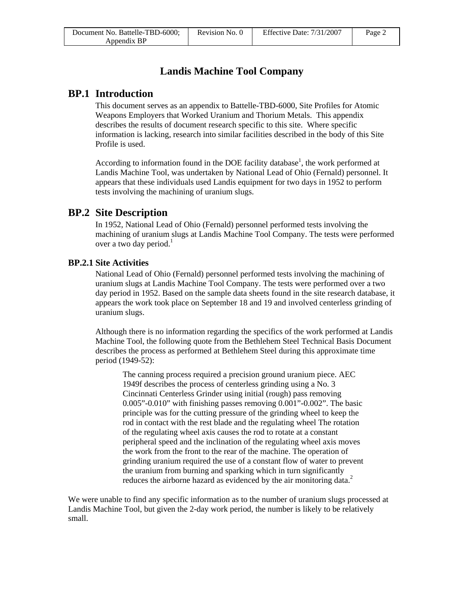# **Landis Machine Tool Company**

### **BP.1 Introduction**

This document serves as an appendix to Battelle-TBD-6000, Site Profiles for Atomic Weapons Employers that Worked Uranium and Thorium Metals. This appendix describes the results of document research specific to this site. Where specific information is lacking, research into similar facilities described in the body of this Site Profile is used.

According to information found in the DOE facility database<sup>1</sup>, the work performed at Landis Machine Tool, was undertaken by National Lead of Ohio (Fernald) personnel. It appears that these individuals used Landis equipment for two days in 1952 to perform tests involving the machining of uranium slugs.

### **BP.2 Site Description**

In 1952, National Lead of Ohio (Fernald) personnel performed tests involving the machining of uranium slugs at Landis Machine Tool Company. The tests were performed over a two day period. $<sup>1</sup>$ </sup>

### **BP.2.1 Site Activities**

National Lead of Ohio (Fernald) personnel performed tests involving the machining of uranium slugs at Landis Machine Tool Company. The tests were performed over a two day period in 1952. Based on the sample data sheets found in the site research database, it appears the work took place on September 18 and 19 and involved centerless grinding of uranium slugs.

Although there is no information regarding the specifics of the work performed at Landis Machine Tool, the following quote from the Bethlehem Steel Technical Basis Document describes the process as performed at Bethlehem Steel during this approximate time period (1949-52):

The canning process required a precision ground uranium piece. AEC 1949f describes the process of centerless grinding using a No. 3 Cincinnati Centerless Grinder using initial (rough) pass removing 0.005"-0.010" with finishing passes removing 0.001"-0.002". The basic principle was for the cutting pressure of the grinding wheel to keep the rod in contact with the rest blade and the regulating wheel The rotation of the regulating wheel axis causes the rod to rotate at a constant peripheral speed and the inclination of the regulating wheel axis moves the work from the front to the rear of the machine. The operation of grinding uranium required the use of a constant flow of water to prevent the uranium from burning and sparking which in turn significantly reduces the airborne hazard as evidenced by the air monitoring data.<sup>2</sup>

We were unable to find any specific information as to the number of uranium slugs processed at Landis Machine Tool, but given the 2-day work period, the number is likely to be relatively small.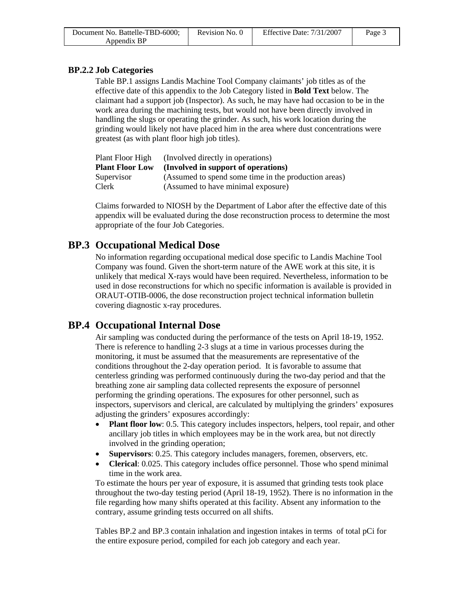| Document No. Battelle-TBD-6000; | Revision No. 0 | Effective Date: $7/31/2007$ | Page 3 |
|---------------------------------|----------------|-----------------------------|--------|
| Appendix BP                     |                |                             |        |

### **BP.2.2 Job Categories**

Table BP.1 assigns Landis Machine Tool Company claimants' job titles as of the effective date of this appendix to the Job Category listed in **Bold Text** below. The claimant had a support job (Inspector). As such, he may have had occasion to be in the work area during the machining tests, but would not have been directly involved in handling the slugs or operating the grinder. As such, his work location during the grinding would likely not have placed him in the area where dust concentrations were greatest (as with plant floor high job titles).

| Plant Floor High       | (Involved directly in operations)                    |
|------------------------|------------------------------------------------------|
| <b>Plant Floor Low</b> | (Involved in support of operations)                  |
| Supervisor             | (Assumed to spend some time in the production areas) |
| Clerk                  | (Assumed to have minimal exposure)                   |

Claims forwarded to NIOSH by the Department of Labor after the effective date of this appendix will be evaluated during the dose reconstruction process to determine the most appropriate of the four Job Categories.

# **BP.3 Occupational Medical Dose**

No information regarding occupational medical dose specific to Landis Machine Tool Company was found. Given the short-term nature of the AWE work at this site, it is unlikely that medical X-rays would have been required. Nevertheless, information to be used in dose reconstructions for which no specific information is available is provided in ORAUT-OTIB-0006, the dose reconstruction project technical information bulletin covering diagnostic x-ray procedures.

## **BP.4 Occupational Internal Dose**

Air sampling was conducted during the performance of the tests on April 18-19, 1952. There is reference to handling 2-3 slugs at a time in various processes during the monitoring, it must be assumed that the measurements are representative of the conditions throughout the 2-day operation period. It is favorable to assume that centerless grinding was performed continuously during the two-day period and that the breathing zone air sampling data collected represents the exposure of personnel performing the grinding operations. The exposures for other personnel, such as inspectors, supervisors and clerical, are calculated by multiplying the grinders' exposures adjusting the grinders' exposures accordingly:

- **Plant floor low**: 0.5. This category includes inspectors, helpers, tool repair, and other ancillary job titles in which employees may be in the work area, but not directly involved in the grinding operation;
- **Supervisors**: 0.25. This category includes managers, foremen, observers, etc.
- **Clerical**: 0.025. This category includes office personnel. Those who spend minimal time in the work area.

To estimate the hours per year of exposure, it is assumed that grinding tests took place throughout the two-day testing period (April 18-19, 1952). There is no information in the file regarding how many shifts operated at this facility. Absent any information to the contrary, assume grinding tests occurred on all shifts.

Tables BP.2 and BP.3 contain inhalation and ingestion intakes in terms of total pCi for the entire exposure period, compiled for each job category and each year.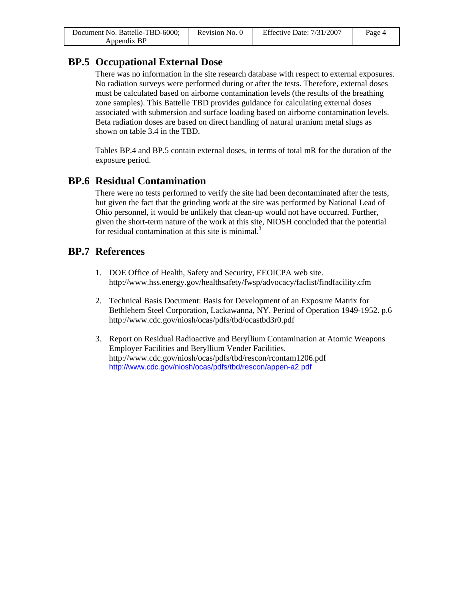| Document No. Battelle-TBD-6000; | Revision No. 0 | Effective Date: $7/31/2007$ | Page 4 |
|---------------------------------|----------------|-----------------------------|--------|
| Appendix BP                     |                |                             |        |

## **BP.5 Occupational External Dose**

There was no information in the site research database with respect to external exposures. No radiation surveys were performed during or after the tests. Therefore, external doses must be calculated based on airborne contamination levels (the results of the breathing zone samples). This Battelle TBD provides guidance for calculating external doses associated with submersion and surface loading based on airborne contamination levels. Beta radiation doses are based on direct handling of natural uranium metal slugs as shown on table 3.4 in the TBD.

Tables BP.4 and BP.5 contain external doses, in terms of total mR for the duration of the exposure period.

## **BP.6 Residual Contamination**

There were no tests performed to verify the site had been decontaminated after the tests, but given the fact that the grinding work at the site was performed by National Lead of Ohio personnel, it would be unlikely that clean-up would not have occurred. Further, given the short-term nature of the work at this site, NIOSH concluded that the potential for residual contamination at this site is minimal.<sup>3</sup>

## **BP.7 References**

- 1. DOE Office of Health, Safety and Security, EEOICPA web site. http://www.hss.energy.gov/healthsafety/fwsp/advocacy/faclist/findfacility.cfm
- 2. Technical Basis Document: Basis for Development of an Exposure Matrix for Bethlehem Steel Corporation, Lackawanna, NY. Period of Operation 1949-1952. p.6 http://www.cdc.gov/niosh/ocas/pdfs/tbd/ocastbd3r0.pdf
- 3. Report on Residual Radioactive and Beryllium Contamination at Atomic Weapons Employer Facilities and Beryllium Vender Facilities. http://www.cdc.gov/niosh/ocas/pdfs/tbd/rescon/rcontam1206.pdf http://www.cdc.gov/niosh/ocas/pdfs/tbd/rescon/appen-a2.pdf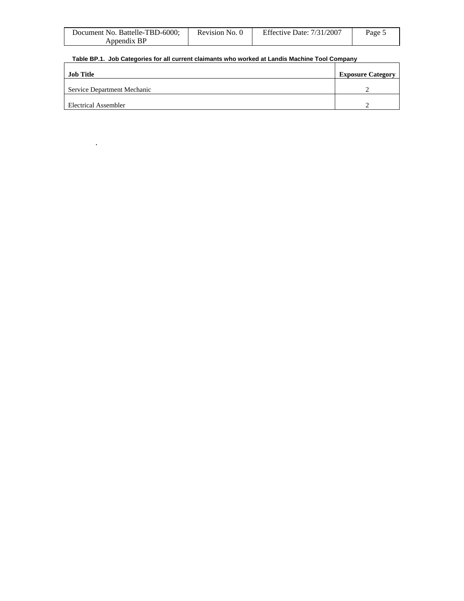| Document No. Battelle-TBD-6000; | Revision No. 0 | Effective Date: $7/31/2007$ | Page 5 |
|---------------------------------|----------------|-----------------------------|--------|
| Appendix BP                     |                |                             |        |

### **Table BP.1. Job Categories for all current claimants who worked at Landis Machine Tool Company**

.

| Job Title                   | <b>Exposure Category</b> |
|-----------------------------|--------------------------|
| Service Department Mechanic |                          |
| Electrical Assembler        |                          |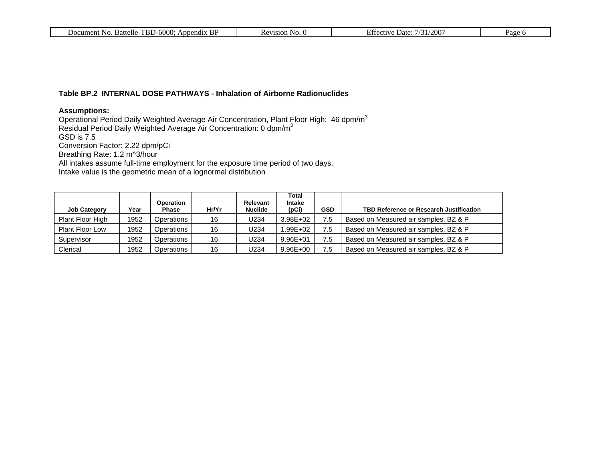| Document No.<br>Battelle-TBD-6000:<br>Appendix | N <sub>O</sub><br>Revision | Effective<br>/200<br>7/31/<br>Date: | Page |
|------------------------------------------------|----------------------------|-------------------------------------|------|
|                                                |                            |                                     |      |

#### **Table BP.2 INTERNAL DOSE PATHWAYS - Inhalation of Airborne Radionuclides**

#### **Assumptions:**

Operational Period Daily Weighted Average Air Concentration, Plant Floor High: 46 dpm/m $^3$ Residual Period Daily Weighted Average Air Concentration: 0 dpm/m $^3$ GSD is 7.5 Conversion Factor: 2.22 dpm/pCi Breathing Rate: 1.2 m^3/hour All intakes assume full-time employment for the exposure time period of two days. Intake value is the geometric mean of a lognormal distribution

| <b>Job Category</b>    | Year | Operation<br><b>Phase</b> | Hr/Yr | Relevant<br><b>Nuclide</b> | Total<br>Intake<br>(pCi) | <b>GSD</b> | TBD Reference or Research Justification |
|------------------------|------|---------------------------|-------|----------------------------|--------------------------|------------|-----------------------------------------|
| Plant Floor High       | 1952 | Operations                | 16    | U234                       | $3.98E + 02$             | 7.5        | Based on Measured air samples, BZ & P   |
| <b>Plant Floor Low</b> | 1952 | Operations                | 16    | U234                       | $.99E + 02$              | 7.5        | Based on Measured air samples, BZ & P   |
| Supervisor             | 1952 | Operations                | 16    | U234                       | $9.96E + 01$             | 7.5        | Based on Measured air samples, BZ & P   |
| Clerical               | 1952 | Operations                | 16    | U234                       | $9.96E + 00$             | 7.5        | Based on Measured air samples, BZ & P   |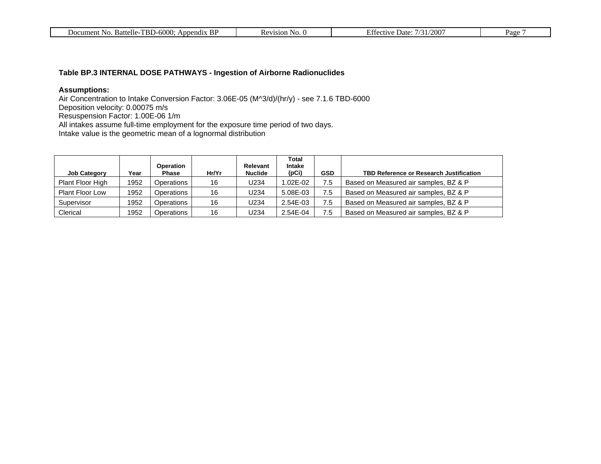| $-TBD-600C$<br>Appendix BP<br>Battelle-<br>NO.<br>Document | evision)<br>N <sub>O</sub> .<br>NE. | $/200^{\circ}$<br>Date <sup>-</sup><br>$\cup$ rective | Page |
|------------------------------------------------------------|-------------------------------------|-------------------------------------------------------|------|
|------------------------------------------------------------|-------------------------------------|-------------------------------------------------------|------|

### **Table BP.3 INTERNAL DOSE PATHWAYS - Ingestion of Airborne Radionuclides**

### **Assumptions:**

Air Concentration to Intake Conversion Factor: 3.06E-05 (M^3/d)/(hr/y) - see 7.1.6 TBD-6000 Deposition velocity: 0.00075 m/s Resuspension Factor: 1.00E-06 1/m All intakes assume full-time employment for the exposure time period of two days. Intake value is the geometric mean of a lognormal distribution

| <b>Job Category</b>    | Year | <b>Operation</b><br><b>Phase</b> | Hr/Yr | Relevant<br><b>Nuclide</b> | Total<br>Intake<br>(pCi) | <b>GSD</b> | <b>TBD Reference or Research Justification</b> |
|------------------------|------|----------------------------------|-------|----------------------------|--------------------------|------------|------------------------------------------------|
| Plant Floor High       | 1952 | Operations                       | 16    | J234                       | .02E-02                  | 7.5        | Based on Measured air samples, BZ & P          |
| <b>Plant Floor Low</b> | 1952 | Operations                       | 16    | J234                       | 5.08E-03                 | 7.5        | Based on Measured air samples, BZ & P          |
| Supervisor             | 1952 | Operations                       | 16    | J234                       | 2.54E-03                 | 7.5        | Based on Measured air samples, BZ & P          |
| Clerical               | 1952 | Operations                       | 16    | U234                       | 2.54E-04                 | 7.5        | Based on Measured air samples, BZ & P          |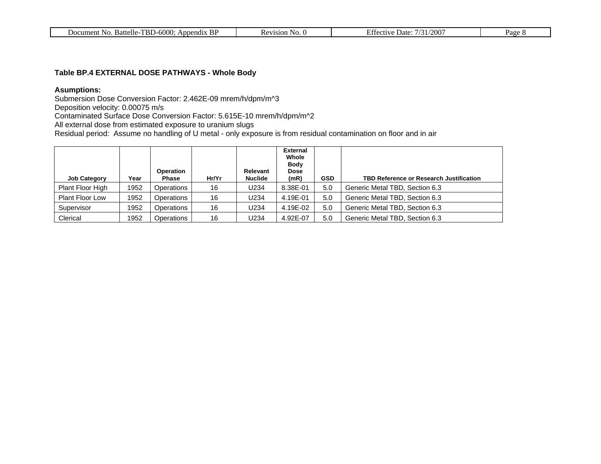| <b>BP</b><br>Battelle-TBD-6000:<br>Document No.<br>Append <sub>1X</sub><br>Revision<br>N <sub>O</sub> .<br>n.c | /200'<br>Effective<br>Date <sup>-</sup><br>73 D | Page c |
|----------------------------------------------------------------------------------------------------------------|-------------------------------------------------|--------|
|----------------------------------------------------------------------------------------------------------------|-------------------------------------------------|--------|

#### **Table BP.4 EXTERNAL DOSE PATHWAYS - Whole Body**

#### **Asumptions:**

Submersion Dose Conversion Factor: 2.462E-09 mrem/h/dpm/m^3

Deposition velocity: 0.00075 m/s

Contaminated Surface Dose Conversion Factor: 5.615E-10 mrem/h/dpm/m^2

All external dose from estimated exposure to uranium slugs

Residual period: Assume no handling of U metal - only exposure is from residual contamination on floor and in air

| <b>Job Category</b>    | Year | <b>Operation</b><br>Phase | Hr/Yr | <b>Relevant</b><br><b>Nuclide</b> | <b>External</b><br>Whole<br><b>Body</b><br><b>Dose</b><br>(mR) | <b>GSD</b> | <b>TBD Reference or Research Justification</b> |
|------------------------|------|---------------------------|-------|-----------------------------------|----------------------------------------------------------------|------------|------------------------------------------------|
| Plant Floor High       | 1952 | Operations                | 16    | U234                              | 8.38E-01                                                       | 5.0        | Generic Metal TBD, Section 6.3                 |
| <b>Plant Floor Low</b> | 1952 | Operations                | 16    | U234                              | 4.19E-01                                                       | 5.0        | Generic Metal TBD, Section 6.3                 |
| Supervisor             | 1952 | Operations                | 16    | U234                              | 4.19E-02                                                       | 5.0        | Generic Metal TBD, Section 6.3                 |
| Clerical               | 1952 | Operations                | 16    | U234                              | 4.92E-07                                                       | 5.0        | Generic Metal TBD, Section 6.3                 |